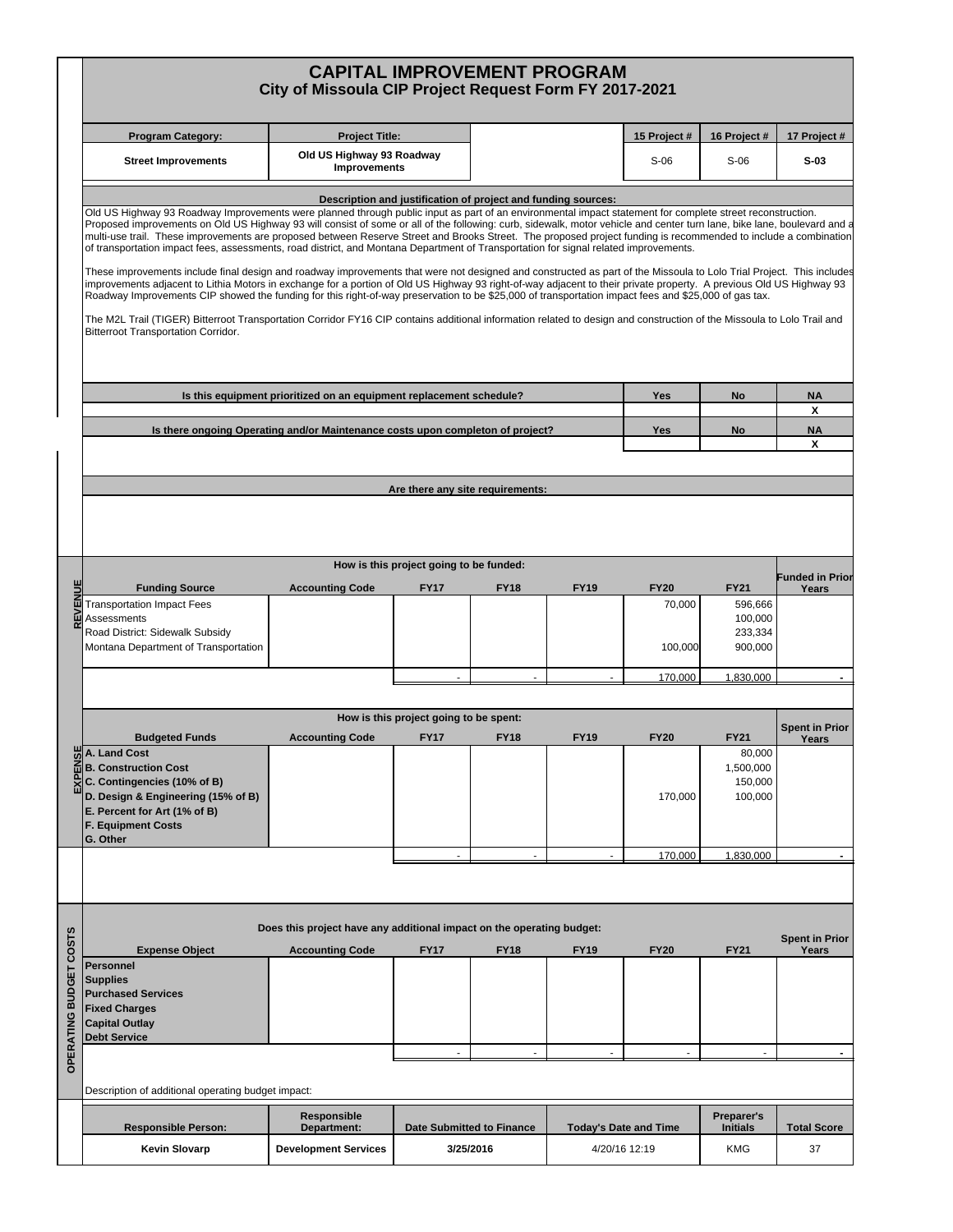| 16 Project #<br><b>Program Category:</b><br><b>Project Title:</b><br>15 Project #<br>17 Project #<br>Old US Highway 93 Roadway<br><b>Street Improvements</b><br>$S-06$<br>$S-06$<br>$S-03$<br><b>Improvements</b><br>Description and justification of project and funding sources:<br>Old US Highway 93 Roadway Improvements were planned through public input as part of an environmental impact statement for complete street reconstruction.<br>of transportation impact fees, assessments, road district, and Montana Department of Transportation for signal related improvements.<br>improvements adjacent to Lithia Motors in exchange for a portion of Old US Highway 93 right-of-way adjacent to their private property. A previous Old US Highway 93<br>Roadway Improvements CIP showed the funding for this right-of-way preservation to be \$25,000 of transportation impact fees and \$25,000 of gas tax.<br>The M2L Trail (TIGER) Bitterroot Transportation Corridor FY16 CIP contains additional information related to design and construction of the Missoula to Lolo Trail and<br>Bitterroot Transportation Corridor.<br>Is this equipment prioritized on an equipment replacement schedule?<br>Yes<br><b>No</b><br><b>NA</b><br>X<br><b>NA</b><br>Is there ongoing Operating and/or Maintenance costs upon completon of project?<br>Yes<br>No<br>Х<br>Are there any site requirements:<br>How is this project going to be funded:<br><b>REVENUE</b><br><b>Accounting Code</b><br><b>FY20</b><br><b>Funding Source</b><br><b>FY17</b><br><b>FY18</b><br><b>FY19</b><br><b>FY21</b><br>Years<br><b>Transportation Impact Fees</b><br>70,000<br>596,666<br>100,000<br>Assessments<br>Road District: Sidewalk Subsidy<br>233,334<br>Montana Department of Transportation<br>900,000<br>100,000<br>170,000<br>1,830,000<br>How is this project going to be spent:<br><b>Spent in Prior</b><br><b>FY18</b><br><b>FY20</b><br><b>Budgeted Funds</b><br><b>Accounting Code</b><br><b>FY17</b><br><b>FY19</b><br><b>FY21</b><br>Years<br>MA. Land Cost<br>80,000<br>$\vec{a}$ B. Construction Cost<br>1,500,000<br>EXP<br>C. Contingencies (10% of B)<br>150,000<br>D. Design & Engineering (15% of B)<br>170,000<br>100,000<br>E. Percent for Art (1% of B)<br><b>F. Equipment Costs</b><br>G. Other<br>170,000<br>1,830,000<br>$\mathbf{r}$<br>÷.<br>Does this project have any additional impact on the operating budget:<br>OPERATING BUDGET COSTS<br><b>Spent in Prior</b><br><b>FY20</b><br><b>Expense Object</b><br><b>Accounting Code</b><br><b>FY17</b><br><b>FY18</b><br><b>FY19</b><br><b>FY21</b><br>Years<br>Personnel<br><b>Supplies</b><br><b>Purchased Services</b><br><b>Fixed Charges</b><br><b>Capital Outlay</b><br><b>Debt Service</b><br>Description of additional operating budget impact:<br><b>Responsible</b><br>Preparer's<br><b>Responsible Person:</b><br><b>Initials</b><br><b>Total Score</b><br>Department:<br><b>Date Submitted to Finance</b><br><b>Today's Date and Time</b> |  | <b>CAPITAL IMPROVEMENT PROGRAM</b><br>City of Missoula CIP Project Request Form FY 2017-2021                                                                                                                                                                                                                                                                                                                                                                                                                       |  |  |  |  |  |  |                        |  |  |  |  |  |  |
|---------------------------------------------------------------------------------------------------------------------------------------------------------------------------------------------------------------------------------------------------------------------------------------------------------------------------------------------------------------------------------------------------------------------------------------------------------------------------------------------------------------------------------------------------------------------------------------------------------------------------------------------------------------------------------------------------------------------------------------------------------------------------------------------------------------------------------------------------------------------------------------------------------------------------------------------------------------------------------------------------------------------------------------------------------------------------------------------------------------------------------------------------------------------------------------------------------------------------------------------------------------------------------------------------------------------------------------------------------------------------------------------------------------------------------------------------------------------------------------------------------------------------------------------------------------------------------------------------------------------------------------------------------------------------------------------------------------------------------------------------------------------------------------------------------------------------------------------------------------------------------------------------------------------------------------------------------------------------------------------------------------------------------------------------------------------------------------------------------------------------------------------------------------------------------------------------------------------------------------------------------------------------------------------------------------------------------------------------------------------------------------------------------------------------------------------------------------------------------------------------------------------------------------------------------------------------------------------------------------------------------------------------------------------------------------------------------------------------------------------------------------------------------------------------------------------------------------------------------------------------------------------------------------------------------------------------------------------------------------------------------------------------|--|--------------------------------------------------------------------------------------------------------------------------------------------------------------------------------------------------------------------------------------------------------------------------------------------------------------------------------------------------------------------------------------------------------------------------------------------------------------------------------------------------------------------|--|--|--|--|--|--|------------------------|--|--|--|--|--|--|
|                                                                                                                                                                                                                                                                                                                                                                                                                                                                                                                                                                                                                                                                                                                                                                                                                                                                                                                                                                                                                                                                                                                                                                                                                                                                                                                                                                                                                                                                                                                                                                                                                                                                                                                                                                                                                                                                                                                                                                                                                                                                                                                                                                                                                                                                                                                                                                                                                                                                                                                                                                                                                                                                                                                                                                                                                                                                                                                                                                                                                           |  |                                                                                                                                                                                                                                                                                                                                                                                                                                                                                                                    |  |  |  |  |  |  |                        |  |  |  |  |  |  |
|                                                                                                                                                                                                                                                                                                                                                                                                                                                                                                                                                                                                                                                                                                                                                                                                                                                                                                                                                                                                                                                                                                                                                                                                                                                                                                                                                                                                                                                                                                                                                                                                                                                                                                                                                                                                                                                                                                                                                                                                                                                                                                                                                                                                                                                                                                                                                                                                                                                                                                                                                                                                                                                                                                                                                                                                                                                                                                                                                                                                                           |  |                                                                                                                                                                                                                                                                                                                                                                                                                                                                                                                    |  |  |  |  |  |  |                        |  |  |  |  |  |  |
|                                                                                                                                                                                                                                                                                                                                                                                                                                                                                                                                                                                                                                                                                                                                                                                                                                                                                                                                                                                                                                                                                                                                                                                                                                                                                                                                                                                                                                                                                                                                                                                                                                                                                                                                                                                                                                                                                                                                                                                                                                                                                                                                                                                                                                                                                                                                                                                                                                                                                                                                                                                                                                                                                                                                                                                                                                                                                                                                                                                                                           |  | Proposed improvements on Old US Highway 93 will consist of some or all of the following: curb, sidewalk, motor vehicle and center turn lane, bike lane, boulevard and a<br>multi-use trail. These improvements are proposed between Reserve Street and Brooks Street. The proposed project funding is recommended to include a combination<br>These improvements include final design and roadway improvements that were not designed and constructed as part of the Missoula to Lolo Trial Project. This includes |  |  |  |  |  |  |                        |  |  |  |  |  |  |
|                                                                                                                                                                                                                                                                                                                                                                                                                                                                                                                                                                                                                                                                                                                                                                                                                                                                                                                                                                                                                                                                                                                                                                                                                                                                                                                                                                                                                                                                                                                                                                                                                                                                                                                                                                                                                                                                                                                                                                                                                                                                                                                                                                                                                                                                                                                                                                                                                                                                                                                                                                                                                                                                                                                                                                                                                                                                                                                                                                                                                           |  |                                                                                                                                                                                                                                                                                                                                                                                                                                                                                                                    |  |  |  |  |  |  |                        |  |  |  |  |  |  |
|                                                                                                                                                                                                                                                                                                                                                                                                                                                                                                                                                                                                                                                                                                                                                                                                                                                                                                                                                                                                                                                                                                                                                                                                                                                                                                                                                                                                                                                                                                                                                                                                                                                                                                                                                                                                                                                                                                                                                                                                                                                                                                                                                                                                                                                                                                                                                                                                                                                                                                                                                                                                                                                                                                                                                                                                                                                                                                                                                                                                                           |  |                                                                                                                                                                                                                                                                                                                                                                                                                                                                                                                    |  |  |  |  |  |  |                        |  |  |  |  |  |  |
|                                                                                                                                                                                                                                                                                                                                                                                                                                                                                                                                                                                                                                                                                                                                                                                                                                                                                                                                                                                                                                                                                                                                                                                                                                                                                                                                                                                                                                                                                                                                                                                                                                                                                                                                                                                                                                                                                                                                                                                                                                                                                                                                                                                                                                                                                                                                                                                                                                                                                                                                                                                                                                                                                                                                                                                                                                                                                                                                                                                                                           |  |                                                                                                                                                                                                                                                                                                                                                                                                                                                                                                                    |  |  |  |  |  |  |                        |  |  |  |  |  |  |
|                                                                                                                                                                                                                                                                                                                                                                                                                                                                                                                                                                                                                                                                                                                                                                                                                                                                                                                                                                                                                                                                                                                                                                                                                                                                                                                                                                                                                                                                                                                                                                                                                                                                                                                                                                                                                                                                                                                                                                                                                                                                                                                                                                                                                                                                                                                                                                                                                                                                                                                                                                                                                                                                                                                                                                                                                                                                                                                                                                                                                           |  |                                                                                                                                                                                                                                                                                                                                                                                                                                                                                                                    |  |  |  |  |  |  |                        |  |  |  |  |  |  |
|                                                                                                                                                                                                                                                                                                                                                                                                                                                                                                                                                                                                                                                                                                                                                                                                                                                                                                                                                                                                                                                                                                                                                                                                                                                                                                                                                                                                                                                                                                                                                                                                                                                                                                                                                                                                                                                                                                                                                                                                                                                                                                                                                                                                                                                                                                                                                                                                                                                                                                                                                                                                                                                                                                                                                                                                                                                                                                                                                                                                                           |  |                                                                                                                                                                                                                                                                                                                                                                                                                                                                                                                    |  |  |  |  |  |  |                        |  |  |  |  |  |  |
|                                                                                                                                                                                                                                                                                                                                                                                                                                                                                                                                                                                                                                                                                                                                                                                                                                                                                                                                                                                                                                                                                                                                                                                                                                                                                                                                                                                                                                                                                                                                                                                                                                                                                                                                                                                                                                                                                                                                                                                                                                                                                                                                                                                                                                                                                                                                                                                                                                                                                                                                                                                                                                                                                                                                                                                                                                                                                                                                                                                                                           |  |                                                                                                                                                                                                                                                                                                                                                                                                                                                                                                                    |  |  |  |  |  |  |                        |  |  |  |  |  |  |
|                                                                                                                                                                                                                                                                                                                                                                                                                                                                                                                                                                                                                                                                                                                                                                                                                                                                                                                                                                                                                                                                                                                                                                                                                                                                                                                                                                                                                                                                                                                                                                                                                                                                                                                                                                                                                                                                                                                                                                                                                                                                                                                                                                                                                                                                                                                                                                                                                                                                                                                                                                                                                                                                                                                                                                                                                                                                                                                                                                                                                           |  |                                                                                                                                                                                                                                                                                                                                                                                                                                                                                                                    |  |  |  |  |  |  | <b>Funded in Prior</b> |  |  |  |  |  |  |
|                                                                                                                                                                                                                                                                                                                                                                                                                                                                                                                                                                                                                                                                                                                                                                                                                                                                                                                                                                                                                                                                                                                                                                                                                                                                                                                                                                                                                                                                                                                                                                                                                                                                                                                                                                                                                                                                                                                                                                                                                                                                                                                                                                                                                                                                                                                                                                                                                                                                                                                                                                                                                                                                                                                                                                                                                                                                                                                                                                                                                           |  |                                                                                                                                                                                                                                                                                                                                                                                                                                                                                                                    |  |  |  |  |  |  |                        |  |  |  |  |  |  |
|                                                                                                                                                                                                                                                                                                                                                                                                                                                                                                                                                                                                                                                                                                                                                                                                                                                                                                                                                                                                                                                                                                                                                                                                                                                                                                                                                                                                                                                                                                                                                                                                                                                                                                                                                                                                                                                                                                                                                                                                                                                                                                                                                                                                                                                                                                                                                                                                                                                                                                                                                                                                                                                                                                                                                                                                                                                                                                                                                                                                                           |  |                                                                                                                                                                                                                                                                                                                                                                                                                                                                                                                    |  |  |  |  |  |  |                        |  |  |  |  |  |  |
|                                                                                                                                                                                                                                                                                                                                                                                                                                                                                                                                                                                                                                                                                                                                                                                                                                                                                                                                                                                                                                                                                                                                                                                                                                                                                                                                                                                                                                                                                                                                                                                                                                                                                                                                                                                                                                                                                                                                                                                                                                                                                                                                                                                                                                                                                                                                                                                                                                                                                                                                                                                                                                                                                                                                                                                                                                                                                                                                                                                                                           |  |                                                                                                                                                                                                                                                                                                                                                                                                                                                                                                                    |  |  |  |  |  |  |                        |  |  |  |  |  |  |
|                                                                                                                                                                                                                                                                                                                                                                                                                                                                                                                                                                                                                                                                                                                                                                                                                                                                                                                                                                                                                                                                                                                                                                                                                                                                                                                                                                                                                                                                                                                                                                                                                                                                                                                                                                                                                                                                                                                                                                                                                                                                                                                                                                                                                                                                                                                                                                                                                                                                                                                                                                                                                                                                                                                                                                                                                                                                                                                                                                                                                           |  |                                                                                                                                                                                                                                                                                                                                                                                                                                                                                                                    |  |  |  |  |  |  |                        |  |  |  |  |  |  |
|                                                                                                                                                                                                                                                                                                                                                                                                                                                                                                                                                                                                                                                                                                                                                                                                                                                                                                                                                                                                                                                                                                                                                                                                                                                                                                                                                                                                                                                                                                                                                                                                                                                                                                                                                                                                                                                                                                                                                                                                                                                                                                                                                                                                                                                                                                                                                                                                                                                                                                                                                                                                                                                                                                                                                                                                                                                                                                                                                                                                                           |  |                                                                                                                                                                                                                                                                                                                                                                                                                                                                                                                    |  |  |  |  |  |  |                        |  |  |  |  |  |  |
|                                                                                                                                                                                                                                                                                                                                                                                                                                                                                                                                                                                                                                                                                                                                                                                                                                                                                                                                                                                                                                                                                                                                                                                                                                                                                                                                                                                                                                                                                                                                                                                                                                                                                                                                                                                                                                                                                                                                                                                                                                                                                                                                                                                                                                                                                                                                                                                                                                                                                                                                                                                                                                                                                                                                                                                                                                                                                                                                                                                                                           |  |                                                                                                                                                                                                                                                                                                                                                                                                                                                                                                                    |  |  |  |  |  |  |                        |  |  |  |  |  |  |
|                                                                                                                                                                                                                                                                                                                                                                                                                                                                                                                                                                                                                                                                                                                                                                                                                                                                                                                                                                                                                                                                                                                                                                                                                                                                                                                                                                                                                                                                                                                                                                                                                                                                                                                                                                                                                                                                                                                                                                                                                                                                                                                                                                                                                                                                                                                                                                                                                                                                                                                                                                                                                                                                                                                                                                                                                                                                                                                                                                                                                           |  |                                                                                                                                                                                                                                                                                                                                                                                                                                                                                                                    |  |  |  |  |  |  |                        |  |  |  |  |  |  |
|                                                                                                                                                                                                                                                                                                                                                                                                                                                                                                                                                                                                                                                                                                                                                                                                                                                                                                                                                                                                                                                                                                                                                                                                                                                                                                                                                                                                                                                                                                                                                                                                                                                                                                                                                                                                                                                                                                                                                                                                                                                                                                                                                                                                                                                                                                                                                                                                                                                                                                                                                                                                                                                                                                                                                                                                                                                                                                                                                                                                                           |  |                                                                                                                                                                                                                                                                                                                                                                                                                                                                                                                    |  |  |  |  |  |  |                        |  |  |  |  |  |  |
|                                                                                                                                                                                                                                                                                                                                                                                                                                                                                                                                                                                                                                                                                                                                                                                                                                                                                                                                                                                                                                                                                                                                                                                                                                                                                                                                                                                                                                                                                                                                                                                                                                                                                                                                                                                                                                                                                                                                                                                                                                                                                                                                                                                                                                                                                                                                                                                                                                                                                                                                                                                                                                                                                                                                                                                                                                                                                                                                                                                                                           |  |                                                                                                                                                                                                                                                                                                                                                                                                                                                                                                                    |  |  |  |  |  |  |                        |  |  |  |  |  |  |
|                                                                                                                                                                                                                                                                                                                                                                                                                                                                                                                                                                                                                                                                                                                                                                                                                                                                                                                                                                                                                                                                                                                                                                                                                                                                                                                                                                                                                                                                                                                                                                                                                                                                                                                                                                                                                                                                                                                                                                                                                                                                                                                                                                                                                                                                                                                                                                                                                                                                                                                                                                                                                                                                                                                                                                                                                                                                                                                                                                                                                           |  |                                                                                                                                                                                                                                                                                                                                                                                                                                                                                                                    |  |  |  |  |  |  |                        |  |  |  |  |  |  |
|                                                                                                                                                                                                                                                                                                                                                                                                                                                                                                                                                                                                                                                                                                                                                                                                                                                                                                                                                                                                                                                                                                                                                                                                                                                                                                                                                                                                                                                                                                                                                                                                                                                                                                                                                                                                                                                                                                                                                                                                                                                                                                                                                                                                                                                                                                                                                                                                                                                                                                                                                                                                                                                                                                                                                                                                                                                                                                                                                                                                                           |  |                                                                                                                                                                                                                                                                                                                                                                                                                                                                                                                    |  |  |  |  |  |  |                        |  |  |  |  |  |  |
|                                                                                                                                                                                                                                                                                                                                                                                                                                                                                                                                                                                                                                                                                                                                                                                                                                                                                                                                                                                                                                                                                                                                                                                                                                                                                                                                                                                                                                                                                                                                                                                                                                                                                                                                                                                                                                                                                                                                                                                                                                                                                                                                                                                                                                                                                                                                                                                                                                                                                                                                                                                                                                                                                                                                                                                                                                                                                                                                                                                                                           |  |                                                                                                                                                                                                                                                                                                                                                                                                                                                                                                                    |  |  |  |  |  |  |                        |  |  |  |  |  |  |
|                                                                                                                                                                                                                                                                                                                                                                                                                                                                                                                                                                                                                                                                                                                                                                                                                                                                                                                                                                                                                                                                                                                                                                                                                                                                                                                                                                                                                                                                                                                                                                                                                                                                                                                                                                                                                                                                                                                                                                                                                                                                                                                                                                                                                                                                                                                                                                                                                                                                                                                                                                                                                                                                                                                                                                                                                                                                                                                                                                                                                           |  |                                                                                                                                                                                                                                                                                                                                                                                                                                                                                                                    |  |  |  |  |  |  |                        |  |  |  |  |  |  |
|                                                                                                                                                                                                                                                                                                                                                                                                                                                                                                                                                                                                                                                                                                                                                                                                                                                                                                                                                                                                                                                                                                                                                                                                                                                                                                                                                                                                                                                                                                                                                                                                                                                                                                                                                                                                                                                                                                                                                                                                                                                                                                                                                                                                                                                                                                                                                                                                                                                                                                                                                                                                                                                                                                                                                                                                                                                                                                                                                                                                                           |  |                                                                                                                                                                                                                                                                                                                                                                                                                                                                                                                    |  |  |  |  |  |  |                        |  |  |  |  |  |  |
| Kevin Slovarp<br><b>KMG</b><br>37<br><b>Development Services</b><br>3/25/2016<br>4/20/16 12:19                                                                                                                                                                                                                                                                                                                                                                                                                                                                                                                                                                                                                                                                                                                                                                                                                                                                                                                                                                                                                                                                                                                                                                                                                                                                                                                                                                                                                                                                                                                                                                                                                                                                                                                                                                                                                                                                                                                                                                                                                                                                                                                                                                                                                                                                                                                                                                                                                                                                                                                                                                                                                                                                                                                                                                                                                                                                                                                            |  |                                                                                                                                                                                                                                                                                                                                                                                                                                                                                                                    |  |  |  |  |  |  |                        |  |  |  |  |  |  |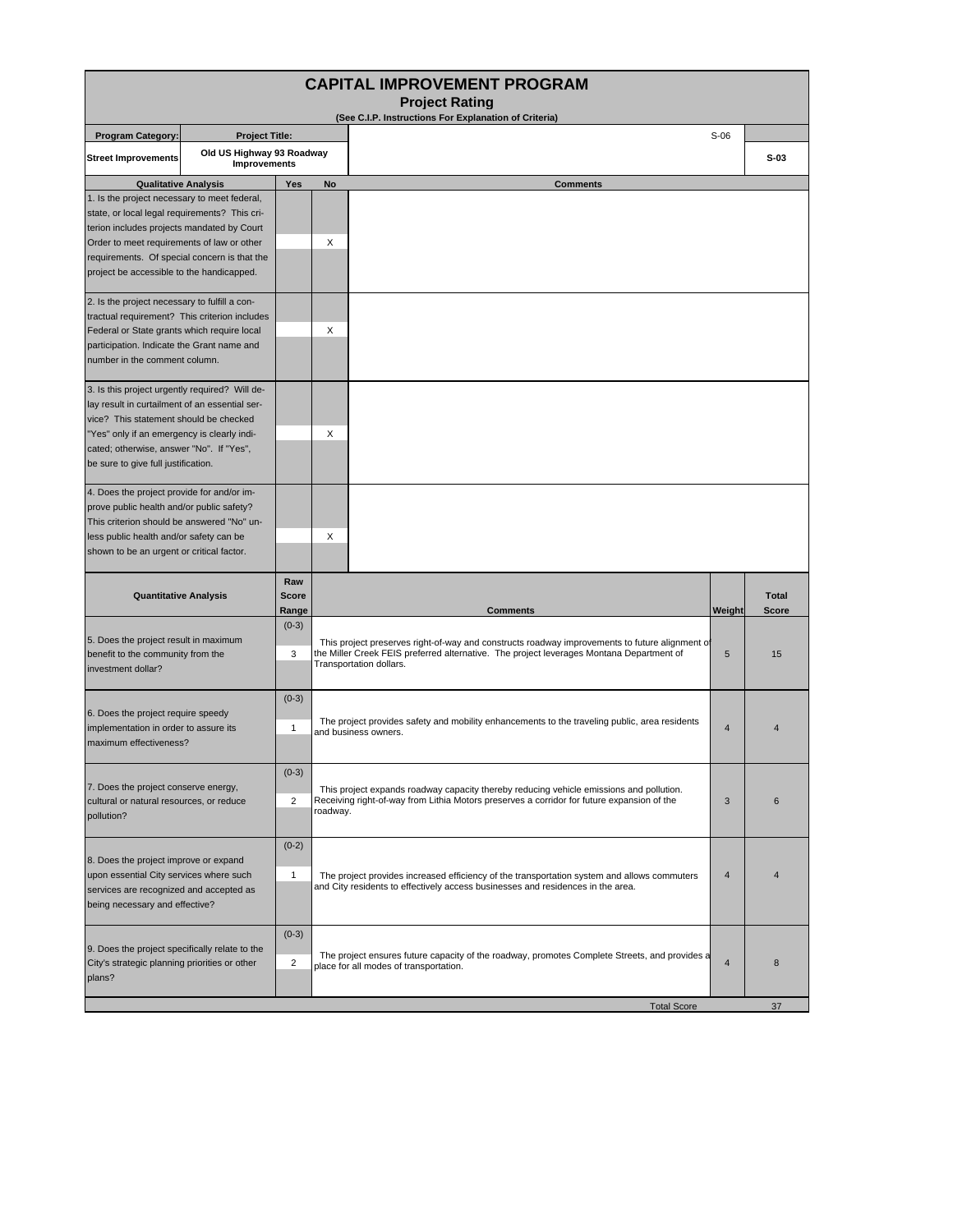| <b>CAPITAL IMPROVEMENT PROGRAM</b>                                                                                                                                                                                                                                                     |                       |                              |                                                                                                                                                                                                                       |                |                              |  |  |  |  |  |  |  |
|----------------------------------------------------------------------------------------------------------------------------------------------------------------------------------------------------------------------------------------------------------------------------------------|-----------------------|------------------------------|-----------------------------------------------------------------------------------------------------------------------------------------------------------------------------------------------------------------------|----------------|------------------------------|--|--|--|--|--|--|--|
| <b>Project Rating</b><br>(See C.I.P. Instructions For Explanation of Criteria)                                                                                                                                                                                                         |                       |                              |                                                                                                                                                                                                                       |                |                              |  |  |  |  |  |  |  |
| <b>Program Category:</b>                                                                                                                                                                                                                                                               | <b>Project Title:</b> |                              | $S-06$                                                                                                                                                                                                                |                |                              |  |  |  |  |  |  |  |
| Old US Highway 93 Roadway<br><b>Street Improvements</b><br>Improvements                                                                                                                                                                                                                |                       |                              |                                                                                                                                                                                                                       |                | $S-03$                       |  |  |  |  |  |  |  |
| <b>Qualitative Analysis</b>                                                                                                                                                                                                                                                            |                       | Yes                          | <b>Comments</b><br>No                                                                                                                                                                                                 |                |                              |  |  |  |  |  |  |  |
| 1. Is the project necessary to meet federal,<br>state, or local legal requirements? This cri-<br>terion includes projects mandated by Court<br>Order to meet requirements of law or other<br>requirements. Of special concern is that the<br>project be accessible to the handicapped. |                       |                              | X                                                                                                                                                                                                                     |                |                              |  |  |  |  |  |  |  |
| 2. Is the project necessary to fulfill a con-<br>tractual requirement? This criterion includes<br>Federal or State grants which require local<br>participation. Indicate the Grant name and<br>number in the comment column.                                                           |                       |                              | X                                                                                                                                                                                                                     |                |                              |  |  |  |  |  |  |  |
| 3. Is this project urgently required? Will de-<br>lay result in curtailment of an essential ser-<br>vice? This statement should be checked<br>"Yes" only if an emergency is clearly indi-<br>cated; otherwise, answer "No". If "Yes",<br>be sure to give full justification.           |                       |                              | X                                                                                                                                                                                                                     |                |                              |  |  |  |  |  |  |  |
| 4. Does the project provide for and/or im-<br>prove public health and/or public safety?<br>This criterion should be answered "No" un-<br>less public health and/or safety can be<br>shown to be an urgent or critical factor.                                                          |                       |                              | X                                                                                                                                                                                                                     |                |                              |  |  |  |  |  |  |  |
| <b>Quantitative Analysis</b>                                                                                                                                                                                                                                                           |                       | Raw<br><b>Score</b><br>Range | <b>Comments</b>                                                                                                                                                                                                       | Weight         | <b>Total</b><br><b>Score</b> |  |  |  |  |  |  |  |
| 5. Does the project result in maximum<br>benefit to the community from the<br>investment dollar?                                                                                                                                                                                       |                       | $(0-3)$<br>3                 | This project preserves right-of-way and constructs roadway improvements to future alignment of<br>the Miller Creek FEIS preferred alternative. The project leverages Montana Department of<br>Transportation dollars. | 5              | 15                           |  |  |  |  |  |  |  |
| 6. Does the project require speedy<br>implementation in order to assure its<br>maximum effectiveness?                                                                                                                                                                                  |                       | $(0-3)$<br>1                 | The project provides safety and mobility enhancements to the traveling public, area residents<br>and business owners.                                                                                                 | $\overline{4}$ |                              |  |  |  |  |  |  |  |
| 7. Does the project conserve energy,<br>cultural or natural resources, or reduce<br>pollution?                                                                                                                                                                                         |                       | $(0-3)$<br>$\overline{2}$    | This project expands roadway capacity thereby reducing vehicle emissions and pollution.<br>Receiving right-of-way from Lithia Motors preserves a corridor for future expansion of the<br>roadway.                     | 3              | 6                            |  |  |  |  |  |  |  |
| 8. Does the project improve or expand<br>upon essential City services where such<br>services are recognized and accepted as<br>being necessary and effective?                                                                                                                          |                       | $(0-2)$<br>$\mathbf{1}$      | The project provides increased efficiency of the transportation system and allows commuters<br>and City residents to effectively access businesses and residences in the area.                                        | 4              | $\overline{4}$               |  |  |  |  |  |  |  |
| 9. Does the project specifically relate to the<br>City's strategic planning priorities or other<br>plans?                                                                                                                                                                              |                       | $(0-3)$<br>2                 | The project ensures future capacity of the roadway, promotes Complete Streets, and provides a<br>place for all modes of transportation.                                                                               | 4              | 8                            |  |  |  |  |  |  |  |
|                                                                                                                                                                                                                                                                                        |                       |                              | <b>Total Score</b>                                                                                                                                                                                                    |                | 37                           |  |  |  |  |  |  |  |